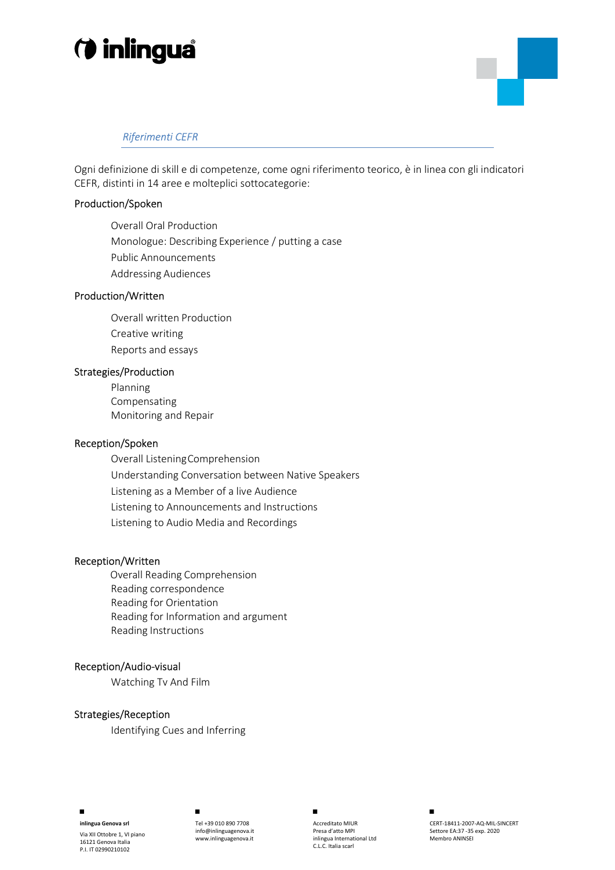# *O* inlingua



# Riferimenti CEFR

Ogni definizione di skill e di competenze, come ogni riferimento teorico, è in linea con gli indicatori CEFR, distinti in 14 aree e molteplici sottocategorie:

### Production/Spoken

Overall Oral Production Monologue: Describing Experience / putting a case Public Announcements Addressing Audiences

### Production/Written

Overall written Production Creative writing Reports and essays

### Strategies/Production

Planning Compensating Monitoring and Repair

### Reception/Spoken

Overall Listening Comprehension Understanding Conversation between Native Speakers Listening as a Member of a live Audience Listening to Announcements and Instructions Listening to Audio Media and Recordings

### Reception/Written

 Overall Reading Comprehension Reading correspondence Reading for Orientation Reading for Information and argument Reading Instructions

### Reception/Audio-visual

Watching Tv And Film

### Strategies/Reception

Identifying Cues and Inferring

■



inlingua Genova srl

Via XII Ottobre 1, VI piano 16121 Genova Italia P.I. IT 02990210102

Tel +39 010 890 7708 info@inlinguagenova.it www.inlinguagenova.it ■

Accreditato MIUR Presa d'atto MPI inlingua International Ltd C.L.C. Italia scarl



CERT-18411-2007-AQ-MIL-SINCERT Settore EA:37 -35 exp. 2020 Membro ANINSEI